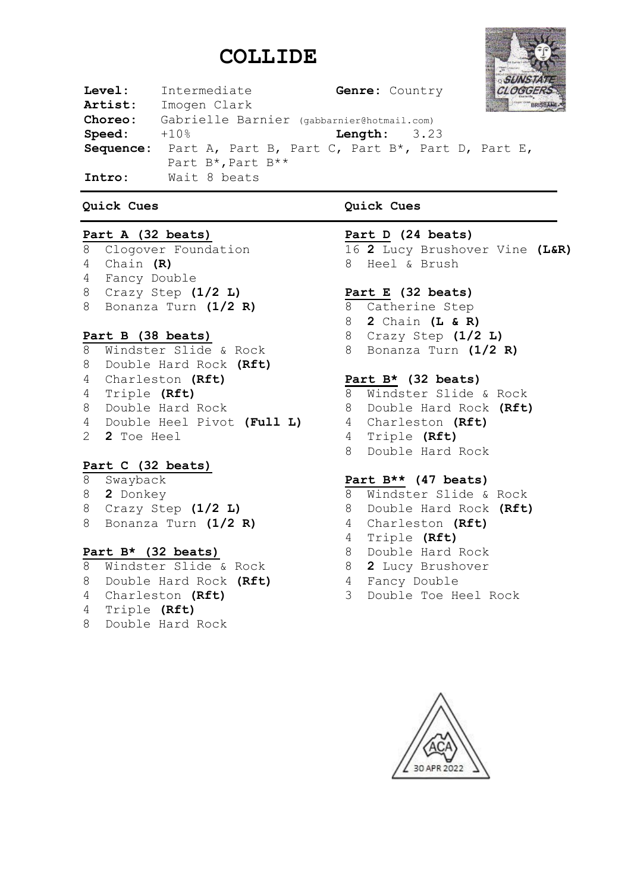# **COLLIDE**



| ${\tt Level:}$ | Intermediate                               | Genre: Country                                             | OGGEL       |  |  |  |
|----------------|--------------------------------------------|------------------------------------------------------------|-------------|--|--|--|
| Artist:        | Imogen Clark                               |                                                            | <b>BRIS</b> |  |  |  |
| Choreo:        | Gabrielle Barnier (gabbarnier@hotmail.com) |                                                            |             |  |  |  |
| Speed:         | +10%                                       | <b>Length:</b> $3.23$                                      |             |  |  |  |
|                |                                            | Sequence: Part A, Part B, Part C, Part B*, Part D, Part E, |             |  |  |  |
|                | Part B*, Part B**                          |                                                            |             |  |  |  |
| Intro:         | Wait 8 beats                               |                                                            |             |  |  |  |

#### **Quick Cues**

#### **Part A (32 beats)**

 Clogover Foundation Chain **(R)** Fancy Double Crazy Step **(1/2 L)** Bonanza Turn **(1/2 R)**

#### **Part B (38 beats)**

 Windster Slide & Rock Double Hard Rock **(Rft)** Charleston **(Rft)** Triple **(Rft)** Double Hard Rock Double Heel Pivot **(Full L) 2** Toe Heel

#### **Part C (32 beats)**

- Swayback **2** Donkey
- 
- Crazy Step **(1/2 L)**
- Bonanza Turn **(1/2 R)**

#### **Part B\* (32 beats)**

- Windster Slide & Rock
- Double Hard Rock **(Rft)**
- Charleston **(Rft)**
- Triple **(Rft)**
- Double Hard Rock

### **Quick Cues**

#### **Part D (24 beats)**

 **2** Lucy Brushover Vine **(L&R)** Heel & Brush

#### **Part E (32 beats)**

- Catherine Step
- **2** Chain **(L & R)**
- Crazy Step **(1/2 L)**
- Bonanza Turn **(1/2 R)**

#### **Part B\* (32 beats)**

- Windster Slide & Rock
- Double Hard Rock **(Rft)**
- Charleston **(Rft)**
- Triple **(Rft)**
- Double Hard Rock

#### **Part B\*\* (47 beats)**

- Windster Slide & Rock
- Double Hard Rock **(Rft)**
- Charleston **(Rft)**
- Triple **(Rft)**
- Double Hard Rock
- **2** Lucy Brushover
- Fancy Double
- Double Toe Heel Rock